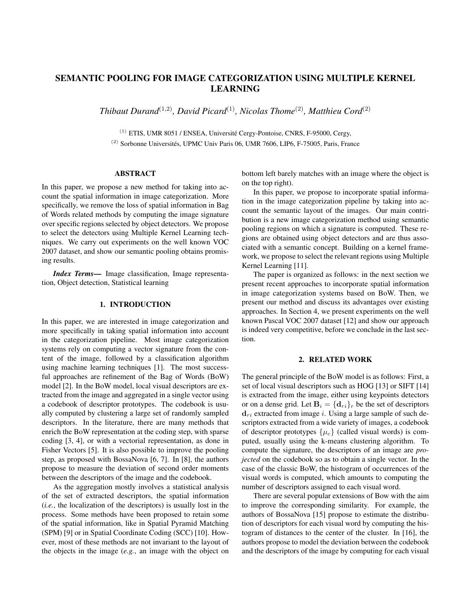# SEMANTIC POOLING FOR IMAGE CATEGORIZATION USING MULTIPLE KERNEL LEARNING

*Thibaut Durand*(1,2)*, David Picard*(1)*, Nicolas Thome*(2)*, Matthieu Cord*(2)

 $(1)$  ETIS, UMR 8051 / ENSEA, Université Cergy-Pontoise, CNRS, F-95000, Cergy,  $(2)$  Sorbonne Universités, UPMC Univ Paris 06, UMR 7606, LIP6, F-75005, Paris, France

### ABSTRACT

In this paper, we propose a new method for taking into account the spatial information in image categorization. More specifically, we remove the loss of spatial information in Bag of Words related methods by computing the image signature over specific regions selected by object detectors. We propose to select the detectors using Multiple Kernel Learning techniques. We carry out experiments on the well known VOC 2007 dataset, and show our semantic pooling obtains promising results.

*Index Terms*— Image classification, Image representation, Object detection, Statistical learning

# 1. INTRODUCTION

In this paper, we are interested in image categorization and more specifically in taking spatial information into account in the categorization pipeline. Most image categorization systems rely on computing a vector signature from the content of the image, followed by a classification algorithm using machine learning techniques [1]. The most successful approaches are refinement of the Bag of Words (BoW) model [2]. In the BoW model, local visual descriptors are extracted from the image and aggregated in a single vector using a codebook of descriptor prototypes. The codebook is usually computed by clustering a large set of randomly sampled descriptors. In the literature, there are many methods that enrich the BoW representation at the coding step, with sparse coding [3, 4], or with a vectorial representation, as done in Fisher Vectors [5]. It is also possible to improve the pooling step, as proposed with BossaNova [6, 7]. In [8], the authors propose to measure the deviation of second order moments between the descriptors of the image and the codebook.

As the aggregation mostly involves a statistical analysis of the set of extracted descriptors, the spatial information (*i.e.*, the localization of the descriptors) is usually lost in the process. Some methods have been proposed to retain some of the spatial information, like in Spatial Pyramid Matching (SPM) [9] or in Spatial Coordinate Coding (SCC) [10]. However, most of these methods are not invariant to the layout of the objects in the image (*e.g.*, an image with the object on

bottom left barely matches with an image where the object is on the top right).

In this paper, we propose to incorporate spatial information in the image categorization pipeline by taking into account the semantic layout of the images. Our main contribution is a new image categorization method using semantic pooling regions on which a signature is computed. These regions are obtained using object detectors and are thus associated with a semantic concept. Building on a kernel framework, we propose to select the relevant regions using Multiple Kernel Learning [11].

The paper is organized as follows: in the next section we present recent approaches to incorporate spatial information in image categorization systems based on BoW. Then, we present our method and discuss its advantages over existing approaches. In Section 4, we present experiments on the well known Pascal VOC 2007 dataset [12] and show our approach is indeed very competitive, before we conclude in the last section.

### 2. RELATED WORK

The general principle of the BoW model is as follows: First, a set of local visual descriptors such as HOG [13] or SIFT [14] is extracted from the image, either using keypoints detectors or on a dense grid. Let  $B_i = \{d_{ri}\}_r$  be the set of descriptors  $d_{ri}$  extracted from image i. Using a large sample of such descriptors extracted from a wide variety of images, a codebook of descriptor prototypes  $\{\mu_c\}$  (called visual words) is computed, usually using the k-means clustering algorithm. To compute the signature, the descriptors of an image are *projected* on the codebook so as to obtain a single vector. In the case of the classic BoW, the histogram of occurrences of the visual words is computed, which amounts to computing the number of descriptors assigned to each visual word.

There are several popular extensions of Bow with the aim to improve the corresponding similarity. For example, the authors of BossaNova [15] propose to estimate the distribution of descriptors for each visual word by computing the histogram of distances to the center of the cluster. In [16], the authors propose to model the deviation between the codebook and the descriptors of the image by computing for each visual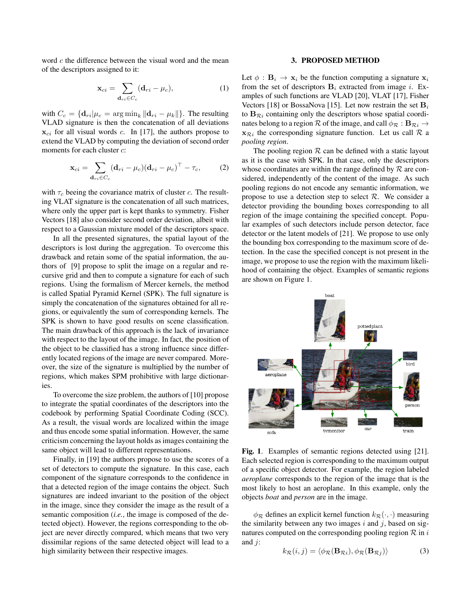word c the difference between the visual word and the mean of the descriptors assigned to it:

$$
\mathbf{x}_{ci} = \sum_{\mathbf{d}_{ri} \in C_c} (\mathbf{d}_{ri} - \mu_c),\tag{1}
$$

with  $C_c = {\mathbf{d}_{ri} | \mu_c = \arg \min_k ||\mathbf{d}_{ri} - \mu_k||}.$  The resulting VLAD signature is then the concatenation of all deviations  $x_{ci}$  for all visual words c. In [17], the authors propose to extend the VLAD by computing the deviation of second order moments for each cluster  $c$ :

$$
\mathbf{x}_{ci} = \sum_{\mathbf{d}_{ri} \in C_c} (\mathbf{d}_{ri} - \mu_c)(\mathbf{d}_{ri} - \mu_c)^{\top} - \tau_c,
$$
 (2)

with  $\tau_c$  beeing the covariance matrix of cluster c. The resulting VLAT signature is the concatenation of all such matrices, where only the upper part is kept thanks to symmetry. Fisher Vectors [18] also consider second order deviation, albeit with respect to a Gaussian mixture model of the descriptors space.

In all the presented signatures, the spatial layout of the descriptors is lost during the aggregation. To overcome this drawback and retain some of the spatial information, the authors of [9] propose to split the image on a regular and recursive grid and then to compute a signature for each of such regions. Using the formalism of Mercer kernels, the method is called Spatial Pyramid Kernel (SPK). The full signature is simply the concatenation of the signatures obtained for all regions, or equivalently the sum of corresponding kernels. The SPK is shown to have good results on scene classification. The main drawback of this approach is the lack of invariance with respect to the layout of the image. In fact, the position of the object to be classified has a strong influence since differently located regions of the image are never compared. Moreover, the size of the signature is multiplied by the number of regions, which makes SPM prohibitive with large dictionaries.

To overcome the size problem, the authors of [10] propose to integrate the spatial coordinates of the descriptors into the codebook by performing Spatial Coordinate Coding (SCC). As a result, the visual words are localized within the image and thus encode some spatial information. However, the same criticism concerning the layout holds as images containing the same object will lead to different representations.

Finally, in [19] the authors propose to use the scores of a set of detectors to compute the signature. In this case, each component of the signature corresponds to the confidence in that a detected region of the image contains the object. Such signatures are indeed invariant to the position of the object in the image, since they consider the image as the result of a semantic composition (*i.e.*, the image is composed of the detected object). However, the regions corresponding to the object are never directly compared, which means that two very dissimilar regions of the same detected object will lead to a high similarity between their respective images.

#### 3. PROPOSED METHOD

Let  $\phi : \mathbf{B}_i \to \mathbf{x}_i$  be the function computing a signature  $\mathbf{x}_i$ from the set of descriptors  $B_i$  extracted from image i. Examples of such functions are VLAD [20], VLAT [17], Fisher Vectors [18] or BossaNova [15]. Let now restrain the set  $B_i$ to  $B_{\mathcal{R}i}$  containing only the descriptors whose spatial coordinates belong to a region  $\mathcal R$  of the image, and call  $\phi_{\mathcal R}: \mathbf B_{\mathcal{R}^i}\to$  $x_{\mathcal{R}}$  the corresponding signature function. Let us call  $\mathcal{R}$  a *pooling region*.

The pooling region  $R$  can be defined with a static layout as it is the case with SPK. In that case, only the descriptors whose coordinates are within the range defined by  $R$  are considered, independently of the content of the image. As such pooling regions do not encode any semantic information, we propose to use a detection step to select  $R$ . We consider a detector providing the bounding boxes corresponding to all region of the image containing the specified concept. Popular examples of such detectors include person detector, face detector or the latent models of [21]. We propose to use only the bounding box corresponding to the maximum score of detection. In the case the specified concept is not present in the image, we propose to use the region with the maximum likelihood of containing the object. Examples of semantic regions are shown on Figure 1.



Fig. 1. Examples of semantic regions detected using [21]. Each selected region is corresponding to the maximum output of a specific object detector. For example, the region labeled *aeroplane* corresponds to the region of the image that is the most likely to host an aeroplane. In this example, only the objects *boat* and *person* are in the image.

 $\phi_R$  defines an explicit kernel function  $k_R(\cdot, \cdot)$  measuring the similarity between any two images  $i$  and  $j$ , based on signatures computed on the corresponding pooling region  $\mathcal R$  in i and  $j$ :

$$
k_{\mathcal{R}}(i,j) = \langle \phi_{\mathcal{R}}(\mathbf{B}_{\mathcal{R}}i), \phi_{\mathcal{R}}(\mathbf{B}_{\mathcal{R}}j) \rangle \tag{3}
$$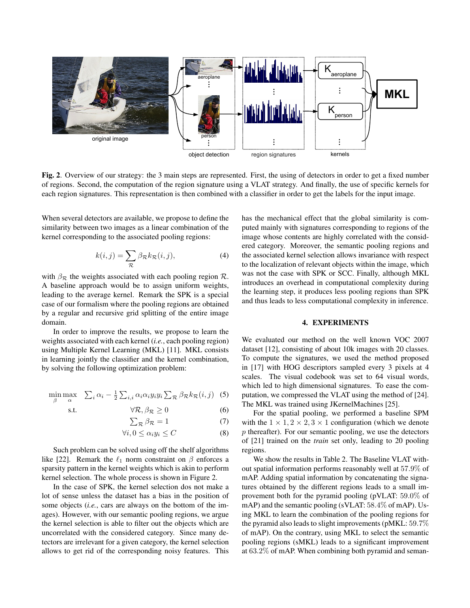

Fig. 2. Overview of our strategy: the 3 main steps are represented. First, the using of detectors in order to get a fixed number of regions. Second, the computation of the region signature using a VLAT strategy. And finally, the use of specific kernels for each region signatures. This representation is then combined with a classifier in order to get the labels for the input image.

When several detectors are available, we propose to define the similarity between two images as a linear combination of the kernel corresponding to the associated pooling regions:

$$
k(i,j) = \sum_{\mathcal{R}} \beta_{\mathcal{R}} k_{\mathcal{R}}(i,j),
$$
 (4)

with  $\beta_{\mathcal{R}}$  the weights associated with each pooling region  $\mathcal{R}$ . A baseline approach would be to assign uniform weights, leading to the average kernel. Remark the SPK is a special case of our formalism where the pooling regions are obtained by a regular and recursive grid splitting of the entire image domain.

In order to improve the results, we propose to learn the weights associated with each kernel (*i.e.*, each pooling region) using Multiple Kernel Learning (MKL) [11]. MKL consists in learning jointly the classifier and the kernel combination, by solving the following optimization problem:

$$
\min_{\beta} \max_{\alpha} \quad \sum_{i} \alpha_i - \frac{1}{2} \sum_{i,i} \alpha_i \alpha_i y_i y_i \sum_{\mathcal{R}} \beta_{\mathcal{R}} k_{\mathcal{R}}(i,j) \tag{5}
$$

$$
\forall \mathcal{R}, \beta_{\mathcal{R}} \ge 0 \tag{6}
$$

$$
\sum_{\mathcal{R}} \beta_{\mathcal{R}} = 1 \tag{7}
$$

$$
\forall i, 0 \le \alpha_i y_i \le C \tag{8}
$$

Such problem can be solved using off the shelf algorithms like [22]. Remark the  $\ell_1$  norm constraint on  $\beta$  enforces a sparsity pattern in the kernel weights which is akin to perform kernel selection. The whole process is shown in Figure 2.

In the case of SPK, the kernel selection dos not make a lot of sense unless the dataset has a bias in the position of some objects (*i.e.*, cars are always on the bottom of the images). However, with our semantic pooling regions, we argue the kernel selection is able to filter out the objects which are uncorrelated with the considered category. Since many detectors are irrelevant for a given category, the kernel selection allows to get rid of the corresponding noisy features. This

has the mechanical effect that the global similarity is computed mainly with signatures corresponding to regions of the image whose contents are highly correlated with the considered category. Moreover, the semantic pooling regions and the associated kernel selection allows invariance with respect to the localization of relevant objects within the image, which was not the case with SPK or SCC. Finally, although MKL introduces an overhead in computational complexity during the learning step, it produces less pooling regions than SPK and thus leads to less computational complexity in inference.

# 4. EXPERIMENTS

We evaluated our method on the well known VOC 2007 dataset [12], consisting of about 10k images with 20 classes. To compute the signatures, we used the method proposed in [17] with HOG descriptors sampled every 3 pixels at 4 scales. The visual codebook was set to 64 visual words, which led to high dimensional signatures. To ease the computation, we compressed the VLAT using the method of [24]. The MKL was trained using JKernelMachines [25].

For the spatial pooling, we performed a baseline SPM with the  $1 \times 1, 2 \times 2, 3 \times 1$  configuration (which we denote  $p$  thereafter). For our semantic pooling, we use the detectors of [21] trained on the *train* set only, leading to 20 pooling regions.

We show the results in Table 2. The Baseline VLAT without spatial information performs reasonably well at 57.9% of mAP. Adding spatial information by concatenating the signatures obtained by the different regions leads to a small improvement both for the pyramid pooling (pVLAT: 59.0% of mAP) and the semantic pooling (sVLAT: 58.4% of mAP). Using MKL to learn the combination of the pooling regions for the pyramid also leads to slight improvements (pMKL: 59.7% of mAP). On the contrary, using MKL to select the semantic pooling regions (sMKL) leads to a significant improvement at 63.2% of mAP. When combining both pyramid and seman-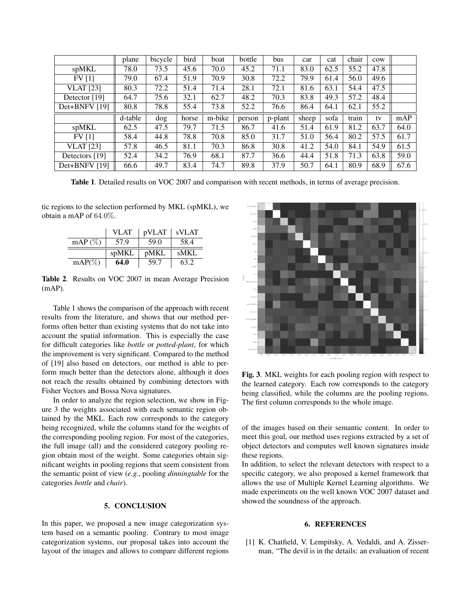|                  | plane   | bicycle | bird  | boat   | bottle | bus     | car   | cat  | chair | cow  |      |
|------------------|---------|---------|-------|--------|--------|---------|-------|------|-------|------|------|
| spMKL            | 78.0    | 73.5    | 45.6  | 70.0   | 45.2   | 71.1    | 83.0  | 62.5 | 55.2  | 47.8 |      |
| FV[1]            | 79.0    | 67.4    | 51.9  | 70.9   | 30.8   | 72.2    | 79.9  | 61.4 | 56.0  | 49.6 |      |
| <b>VLAT</b> [23] | 80.3    | 72.2    | 51.4  | 71.4   | 28.1   | 72.1    | 81.6  | 63.1 | 54.4  | 47.5 |      |
| Detector [19]    | 64.7    | 75.6    | 32.1  | 62.7   | 48.2   | 70.3    | 83.8  | 49.3 | 57.2  | 48.4 |      |
| Det+BNFV [19]    | 80.8    | 78.8    | 55.4  | 73.8   | 52.2   | 76.6    | 86.4  | 64.1 | 62.1  | 55.2 |      |
|                  |         |         |       |        |        |         |       |      |       |      |      |
|                  | d-table | dog     | horse | m-bike | person | p-plant | sheep | sofa | train | tv   | mAP  |
| spMKL            | 62.5    | 47.5    | 79.7  | 71.5   | 86.7   | 41.6    | 51.4  | 61.9 | 81.2  | 63.7 | 64.0 |
| FV[1]            | 58.4    | 44.8    | 78.8  | 70.8   | 85.0   | 31.7    | 51.0  | 56.4 | 80.2  | 57.5 | 61.7 |
| <b>VLAT</b> [23] | 57.8    | 46.5    | 81.1  | 70.3   | 86.8   | 30.8    | 41.2  | 54.0 | 84.1  | 54.9 | 61.5 |
| Detectors [19]   | 52.4    | 34.2    | 76.9  | 68.1   | 87.7   | 36.6    | 44.4  | 51.8 | 71.3  | 63.8 | 59.0 |

Table 1. Detailed results on VOC 2007 and comparison with recent methods, in terms of average precision.

tic regions to the selection performed by MKL (spMKL), we obtain a mAP of 64.0%.

|            | VLAT  | pVLAT | sVLAT       |
|------------|-------|-------|-------------|
| mAP $(\%)$ | 57.9  | 59.0  | 58.4        |
|            |       |       |             |
|            | spMKL | pMKL  | <b>sMKL</b> |

Table 2. Results on VOC 2007 in mean Average Precision (mAP).

Table 1 shows the comparison of the approach with recent results from the literature, and shows that our method performs often better than existing systems that do not take into account the spatial information. This is especially the case for difficult categories like *bottle* or *potted-plant*, for which the improvement is very significant. Compared to the method of [19] also based on detectors, our method is able to perform much better than the detectors alone, although it does not reach the results obtained by combining detectors with Fisher Vectors and Bossa Nova signatures.

In order to analyze the region selection, we show in Figure 3 the weights associated with each semantic region obtained by the MKL. Each row corresponds to the category being recognized, while the columns stand for the weights of the corresponding pooling region. For most of the categories, the full image (all) and the considered category pooling region obtain most of the weight. Some categories obtain significant weights in pooling regions that seem consistent from the semantic point of view (*e.g.*, pooling *dinningtable* for the categories *bottle* and *chair*).

# 5. CONCLUSION

In this paper, we proposed a new image categorization system based on a semantic pooling. Contrary to most image categorization systems, our proposal takes into account the layout of the images and allows to compare different regions



Fig. 3. MKL weights for each pooling region with respect to the learned category. Each row corresponds to the category being classified, while the columns are the pooling regions. The first column corresponds to the whole image.

of the images based on their semantic content. In order to meet this goal, our method uses regions extracted by a set of object detectors and computes well known signatures inside these regions.

In addition, to select the relevant detectors with respect to a specific category, we also proposed a kernel framework that allows the use of Multiple Kernel Learning algorithms. We made experiments on the well known VOC 2007 dataset and showed the soundness of the approach.

### 6. REFERENCES

[1] K. Chatfield, V. Lempitsky, A. Vedaldi, and A. Zisserman, "The devil is in the details: an evaluation of recent